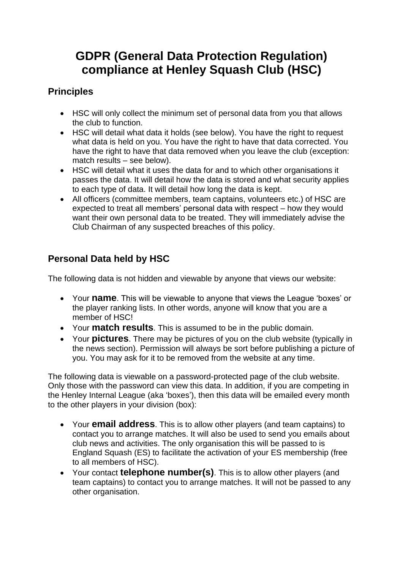# **GDPR (General Data Protection Regulation) compliance at Henley Squash Club (HSC)**

# **Principles**

- HSC will only collect the minimum set of personal data from you that allows the club to function.
- HSC will detail what data it holds (see below). You have the right to request what data is held on you. You have the right to have that data corrected. You have the right to have that data removed when you leave the club (exception: match results – see below).
- HSC will detail what it uses the data for and to which other organisations it passes the data. It will detail how the data is stored and what security applies to each type of data. It will detail how long the data is kept.
- All officers (committee members, team captains, volunteers etc.) of HSC are expected to treat all members' personal data with respect – how they would want their own personal data to be treated. They will immediately advise the Club Chairman of any suspected breaches of this policy.

## **Personal Data held by HSC**

The following data is not hidden and viewable by anyone that views our website:

- Your **name**. This will be viewable to anyone that views the League 'boxes' or the player ranking lists. In other words, anyone will know that you are a member of HSC!
- Your **match results**. This is assumed to be in the public domain.
- Your **pictures**. There may be pictures of you on the club website (typically in the news section). Permission will always be sort before publishing a picture of you. You may ask for it to be removed from the website at any time.

The following data is viewable on a password-protected page of the club website. Only those with the password can view this data. In addition, if you are competing in the Henley Internal League (aka 'boxes'), then this data will be emailed every month to the other players in your division (box):

- Your **email address**. This is to allow other players (and team captains) to contact you to arrange matches. It will also be used to send you emails about club news and activities. The only organisation this will be passed to is England Squash (ES) to facilitate the activation of your ES membership (free to all members of HSC).
- Your contact **telephone number(s)**. This is to allow other players (and team captains) to contact you to arrange matches. It will not be passed to any other organisation.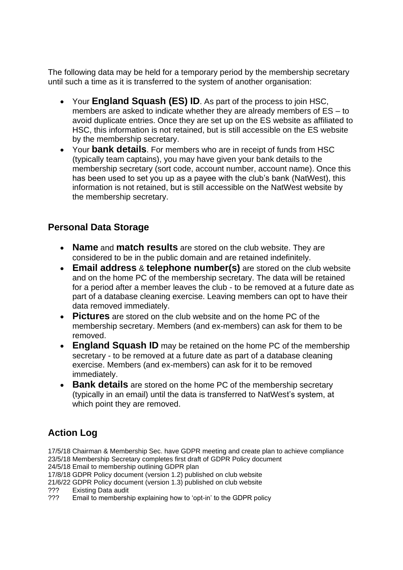The following data may be held for a temporary period by the membership secretary until such a time as it is transferred to the system of another organisation:

- Your **England Squash (ES) ID**. As part of the process to join HSC, members are asked to indicate whether they are already members of ES – to avoid duplicate entries. Once they are set up on the ES website as affiliated to HSC, this information is not retained, but is still accessible on the ES website by the membership secretary.
- Your **bank details**. For members who are in receipt of funds from HSC (typically team captains), you may have given your bank details to the membership secretary (sort code, account number, account name). Once this has been used to set you up as a payee with the club's bank (NatWest), this information is not retained, but is still accessible on the NatWest website by the membership secretary.

#### **Personal Data Storage**

- **Name** and **match results** are stored on the club website. They are considered to be in the public domain and are retained indefinitely.
- **Email address** & **telephone number(s)** are stored on the club website and on the home PC of the membership secretary. The data will be retained for a period after a member leaves the club - to be removed at a future date as part of a database cleaning exercise. Leaving members can opt to have their data removed immediately.
- **Pictures** are stored on the club website and on the home PC of the membership secretary. Members (and ex-members) can ask for them to be removed.
- **England Squash ID** may be retained on the home PC of the membership secretary - to be removed at a future date as part of a database cleaning exercise. Members (and ex-members) can ask for it to be removed immediately.
- **Bank details** are stored on the home PC of the membership secretary (typically in an email) until the data is transferred to NatWest's system, at which point they are removed.

## **Action Log**

17/5/18 Chairman & Membership Sec. have GDPR meeting and create plan to achieve compliance 23/5/18 Membership Secretary completes first draft of GDPR Policy document

24/5/18 Email to membership outlining GDPR plan

17/8/18 GDPR Policy document (version 1.2) published on club website

21/6/22 GDPR Policy document (version 1.3) published on club website

- ??? Existing Data audit
- ??? Email to membership explaining how to 'opt-in' to the GDPR policy